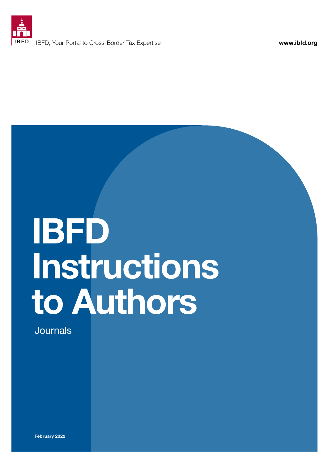

# IBFD Instructions to Authors

Journals

February 2022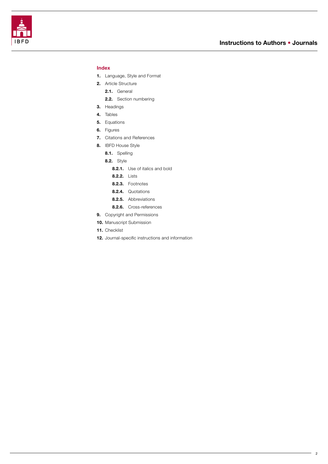

<span id="page-1-0"></span>

### Index

- 1. [Language, Style and Format](#page-2-0)
- 2. [Article Structure](#page-2-0)
	- 2.1. [General](#page-2-0)
	- 2.2. [Section numbering](#page-2-0)
- 3. [Headings](#page-3-0)
- 4. [Tables](#page-3-0)
- 5. [Equations](#page-3-0)
- 6. [Figures](#page-3-0)
- 7. [Citations and References](#page-3-0)
- 8. [IBFD House Style](#page-4-0)
	- 8.1. [Spelling](#page-4-0)
	- **8.2.** [Style](#page-4-0)
		- 8.2.1. Use of italics and bold
		- 8.2.2. [Lists](#page-4-0)
		- 8.2.3. [Footnotes](#page-5-0)
		- 8.2.4. [Quotations](#page-5-0)
		- 8.2.5. [Abbreviations](#page-5-0)
		- 8.2.6. [Cross-references](#page-5-0)
- 9. [Copyright and Permissions](#page-5-0)
- 10. Manuscript Submission
- 11. [Checklist](#page-6-0)
- 12. [Journal-specific instructions and information](#page-7-0)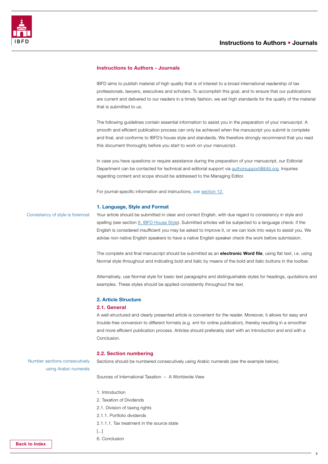<span id="page-2-0"></span>

#### Instructions to Authors - Journals

IBFD aims to publish material of high quality that is of interest to a broad international readership of tax professionals, lawyers, executives and scholars. To accomplish this goal, and to ensure that our publications are current and delivered to our readers in a timely fashion, we set high standards for the quality of the material that is submitted to us.

The following guidelines contain essential information to assist you in the preparation of your manuscript. A smooth and efficient publication process can only be achieved when the manuscript you submit is complete and final, and conforms to IBFD's house style and standards. We therefore strongly recommend that you read this document thoroughly before you start to work on your manuscript.

In case you have questions or require assistance during the preparation of your manuscript, our Editorial Department can be contacted for technical and editorial support via [authorsupport@ibfd.org.](mailto:authorsupport%40ibfd.org?subject=) Inquiries regarding content and scope should be addressed to the Managing Editor.

For journal-specific information and instructions, *see* [section 12.](#page-7-0)

#### 1. Language, Style and Format

Consistency of style is foremost

Your article should be submitted in clear and correct English, with due regard to consistency in style and spelling (*see* section [8. IBFD House Style\)](#page-4-0). Submitted articles will be subjected to a language check: if the English is considered insufficient you may be asked to improve it, or we can look into ways to assist you. We advise non-native English speakers to have a native English speaker check the work before submission.

The complete and final manuscript should be submitted as an electronic Word file, using flat text, i.e. using Normal style throughout and indicating bold and italic by means of the bold and italic buttons in the toolbar.

Alternatively, use Normal style for basic text paragraphs and distinguishable styles for headings, quotations and examples. These styles should be applied consistently throughout the text.

#### 2. Article Structure

#### 2.1. General

A well-structured and clearly presented article is convenient for the reader. Moreover, it allows for easy and trouble-free conversion to different formats (e.g. xml for online publication), thereby resulting in a smoother and more efficient publication process. Articles should preferably start with an Introduction and end with a Conclusion.

#### 2.2. Section numbering

Sections should be numbered consecutively using Arabic numerals (*see* the example below).

using Arabic numerals

Number sections consecutively

Sources of International Taxation – A Worldwide View

- 1. Introduction
- 2. Taxation of Dividends
- 2.1. Division of taxing rights
- 2.1.1. Portfolio dividends
- 2.1.1.1. Tax treatment in the source state
- [...]
- 6. Conclusion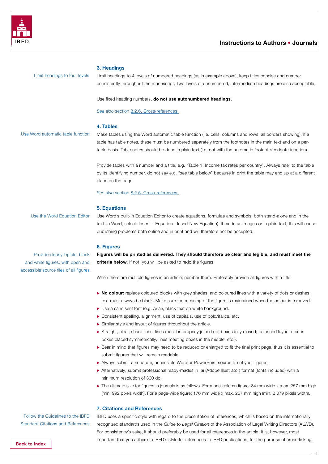<span id="page-3-0"></span>

#### 3. Headings

Limit headings to four levels

Limit headings to 4 levels of numbered headings (as in example above), keep titles concise and number consistently throughout the manuscript. Two levels of unnumbered, intermediate headings are also acceptable.

Use fixed heading numbers, do not use autonumbered headings.

See *also* section 8[.2.6.](#page-5-0) Cross-references.

#### 4. Tables

Use Word automatic table function

Make tables using the Word automatic table function (i.e. cells, columns and rows, all borders showing). If a table has table notes, these must be numbered separately from the footnotes in the main text and on a pertable basis. Table notes should be done in plain text (i.e. not with the automatic footnote/endnote function).

Provide tables with a number and a title, e.g. "Table 1: Income tax rates per country". Always refer to the table by its identifying number, do not say e.g. "*see* table below" because in print the table may end up at a different place on the page.

*See also* section 8[.2.6.](#page-5-0) Cross-references.

#### 5. Equations

Use the Word Equation Editor

Use Word's built-in Equation Editor to create equations, formulae and symbols, both stand-alone and in the text (in Word, select: Insert - Equation - Insert New Equation). If made as images or in plain text, this will cause publishing problems both online and in print and will therefore not be accepted.

#### 6. Figures

Provide clearly legible, black and white figures, with open and accessible source files of all figures Figures will be printed as delivered. They should therefore be clear and legible, and must meet the criteria below. If not, you will be asked to redo the figures.

When there are multiple figures in an article, number them. Preferably provide all figures with a title.

- $\triangleright$  No colour: replace coloured blocks with grey shades, and coloured lines with a variety of dots or dashes; text must always be black. Make sure the meaning of the figure is maintained when the colour is removed.
- ▶ Use a sans serif font (e.g. Arial), black text on white background.
- ▶ Consistent spelling, alignment, use of capitals, use of bold/italics, etc.
- $\triangleright$  Similar style and layout of figures throughout the article.
- ▶ Straight, clear, sharp lines; lines must be properly joined up; boxes fully closed; balanced layout (text in boxes placed symmetrically, lines meeting boxes in the middle, etc.).
- ▶ Bear in mind that figures may need to be reduced or enlarged to fit the final print page, thus it is essential to submit figures that will remain readable.
- $\triangleright$  Always submit a separate, accessible Word or PowerPoint source file of your figures.
- Alternatively, submit professional ready-mades in .ai (Adobe Illustrator) format (fonts included) with a minimum resolution of 300 dpi.
- $\blacktriangleright$  The ultimate size for figures in journals is as follows. For a one-column figure: 84 mm wide x max. 257 mm high (min. 992 pixels width). For a page-wide figure: 176 mm wide x max. 257 mm high (min. 2,079 pixels width).

#### 7. Citations and References

IBFD uses a specific style with regard to the presentation of references, which is based on the internationally recognized standards used in the *Guide to Legal Citation* of the Association of Legal Writing Directors (ALWD). For consistency's sake, it should preferably be used for all references in the article; it is, however, most important that you adhere to IBFD's style for references to IBFD publications, for the purpose of cross-linking.

Follow the Guidelines to the IBFD Standard Citations and References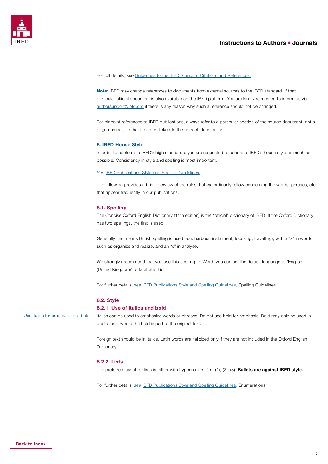<span id="page-4-0"></span>

For full details, *see* [Guidelines to the IBFD Standard Citations and References.](https://www.ibfd.org/sites/default/files/2021-06/Guidelines-IBFD-Standard-Citations-References.pdf)

Note: IBFD may change references to documents from external sources to the IBFD standard, if that particular official document is also available on the IBFD platform. You are kindly requested to inform us via [authorsupport@ibfd.org](mailto:authorsupport%40ibfd.org?subject=) if there is any reason why such a reference should not be changed.

For pinpoint references to IBFD publications, always refer to a particular section of the source document, not a page number, so that it can be linked to the correct place online.

#### 8. IBFD House Style

In order to conform to IBFD's high standards, you are requested to adhere to IBFD's house style as much as possible. Consistency in style and spelling is most important.

#### *See* [IBFD Publications Style and Spelling Guidelines.](https://www.ibfd.org/sites/default/files/2021-12/14_077_var_IBFD_publications_style_and_spelling_guidelines_Dec%202021_final.pdf)

The following provides a brief overview of the rules that we ordinarily follow concerning the words, phrases, etc. that appear frequently in our publications.

#### 8.1. Spelling

The Concise Oxford English Dictionary (11th edition) is the "official" dictionary of IBFD. If the Oxford Dictionary has two spellings, the first is used.

Generally this means British spelling is used (e.g. harbour, instalment, focusing, travelling), with a "z" in words such as organize and realize, and an "s" in analyse.

We strongly recommend that you use this spelling. In Word, you can set the default language to 'English (United Kingdom)' to facilitate this.

For further details, *see* [IBFD Publications Style and Spelling Guidelines](https://www.ibfd.org/sites/default/files/2021-12/14_077_var_IBFD_publications_style_and_spelling_guidelines_Dec%202021_final.pdf), Spelling Guidelines.

#### 8.2. Style

#### 8.2.1. Use of italics and bold

Use italics for emphasis, not bold

Italics can be used to emphasize words or phrases. Do not use bold for emphasis. Bold may only be used in quotations, where the bold is part of the original text.

Foreign text should be in italics. Latin words are italicized only if they are not included in the Oxford English Dictionary.

#### 8.2.2. Lists

The preferred layout for lists is either with hyphens (i.e. -) or (1), (2), (3). **Bullets are against IBFD style.** 

For further details, *see* [IBFD Publications Style and Spelling Guidelines](https://www.ibfd.org/sites/default/files/2021-12/14_077_var_IBFD_publications_style_and_spelling_guidelines_Dec%202021_final.pdf), Enumerations.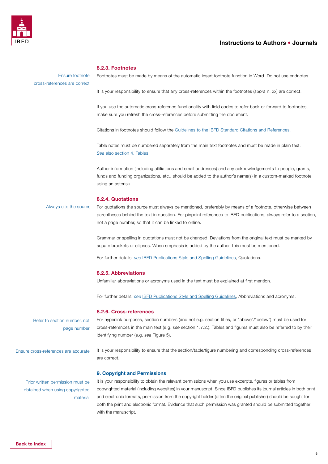<span id="page-5-0"></span>

#### 8.2.3. Footnotes

Ensure footnote cross-references are correct Footnotes must be made by means of the automatic insert footnote function in Word. Do not use endnotes.

It is your responsibility to ensure that any cross-references within the footnotes (*supra* n. xx) are correct.

If you use the automatic cross-reference functionality with field codes to refer back or forward to footnotes, make sure you refresh the cross-references before submitting the document.

Citations in footnotes should follow the [Guidelines to the IBFD Standard Citations and References.](https://www.ibfd.org/sites/default/files/2021-06/Guidelines-IBFD-Standard-Citations-References.pdf)

Table notes must be numbered separately from the main text footnotes and must be made in plain text. *See* also section 4. [Tables.](#page-3-0)

Author information (including affiliations and email addresses) and any acknowledgements to people, grants, funds and funding organizations, etc., should be added to the author's name(s) in a custom-marked footnote using an asterisk.

#### 8.2.4. Quotations

For quotations the source must always be mentioned, preferably by means of a footnote, otherwise between parentheses behind the text in question. For pinpoint references to IBFD publications, always refer to a section, not a page number, so that it can be linked to online. Always cite the source

> Grammar or spelling in quotations must not be changed. Deviations from the original text must be marked by square brackets or ellipses. When emphasis is added by the author, this must be mentioned.

For further details, *see* [IBFD Publications Style and Spelling Guidelines](https://www.ibfd.org/sites/default/files/2021-12/14_077_var_IBFD_publications_style_and_spelling_guidelines_Dec%202021_final.pdf), Quotations.

#### 8.2.5. Abbreviations

Unfamiliar abbreviations or acronyms used in the text must be explained at first mention.

For further details, *see* [IBFD Publications Style and Spelling Guidelines](https://www.ibfd.org/sites/default/files/2021-12/14_077_var_IBFD_publications_style_and_spelling_guidelines_Dec%202021_final.pdf), Abbreviations and acronyms.

#### 8.2.6. Cross-references

9. Copyright and Permissions

Refer to section number, not page number

For hyperlink purposes, section numbers (and not e.g. section titles, or "above"/"below") must be used for cross-references in the main text (e.g. *see* section 1.7.2.). Tables and figures must also be referred to by their identifying number (e.g. *see* Figure 5).

Ensure cross-references are accurate

It is your responsibility to ensure that the section/table/figure numbering and corresponding cross-references are correct.

## Prior written permission must be obtained when using copyrighted material

It is your responsibility to obtain the relevant permissions when you use excerpts, figures or tables from copyrighted material (including websites) in your manuscript. Since IBFD publishes its journal articles in both print and electronic formats, permission from the copyright holder (often the original publisher) should be sought for both the print and electronic format. Evidence that such permission was granted should be submitted together with the manuscript.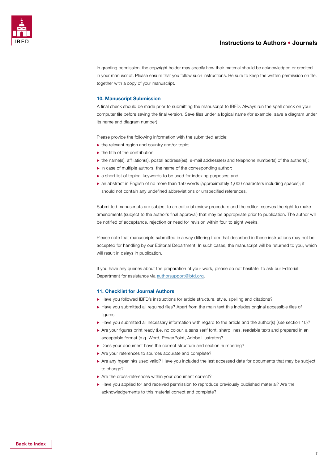

<span id="page-6-0"></span>

In granting permission, the copyright holder may specify how their material should be acknowledged or credited in your manuscript. Please ensure that you follow such instructions. Be sure to keep the written permission on file, together with a copy of your manuscript.

#### 10. Manuscript Submission

A final check should be made prior to submitting the manuscript to IBFD. Always run the spell check on your computer file before saving the final version. Save files under a logical name (for example, save a diagram under its name and diagram number).

Please provide the following information with the submitted article:

- $\blacktriangleright$  the relevant region and country and/or topic;
- $\blacktriangleright$  the title of the contribution;
- $\triangleright$  the name(s), affiliation(s), postal address(es), e-mail address(es) and telephone number(s) of the author(s);
- $\blacktriangleright$  in case of multiple authors, the name of the corresponding author;
- $\triangleright$  a short list of topical keywords to be used for indexing purposes; and
- $\triangleright$  an abstract in English of no more than 150 words (approximately 1,000 characters including spaces); it should not contain any undefined abbreviations or unspecified references.

Submitted manuscripts are subject to an editorial review procedure and the editor reserves the right to make amendments (subject to the author's final approval) that may be appropriate prior to publication. The author will be notified of acceptance, rejection or need for revision within four to eight weeks.

Please note that manuscripts submitted in a way differing from that described in these instructions may not be accepted for handling by our Editorial Department. In such cases, the manuscript will be returned to you, which will result in delays in publication.

If you have any queries about the preparation of your work, please do not hesitate to ask our Editorial Department for assistance via [authorsupport@ibfd.org.](mailto:authorsupport%40ibfd.org?subject=)

#### 11. Checklist for Journal Authors

- ▶ Have you followed IBFD's instructions for article structure, style, spelling and citations?
- ▶ Have you submitted all required files? Apart from the main text this includes original accessible files of figures.
- ▶ Have you submitted all necessary information with regard to the article and the author(s) (see section 10)?
- ▶ Are your figures print ready (i.e. no colour, a sans serif font, sharp lines, readable text) and prepared in an acceptable format (e.g. Word, PowerPoint, Adobe Illustrator)?
- Does your document have the correct structure and section numbering?
- $\blacktriangleright$  Are your references to sources accurate and complete?
- ▶ Are any hyperlinks used valid? Have you included the last accessed date for documents that may be subject to change?
- $\blacktriangleright$  Are the cross-references within your document correct?
- ▶ Have you applied for and received permission to reproduce previously published material? Are the acknowledgements to this material correct and complete?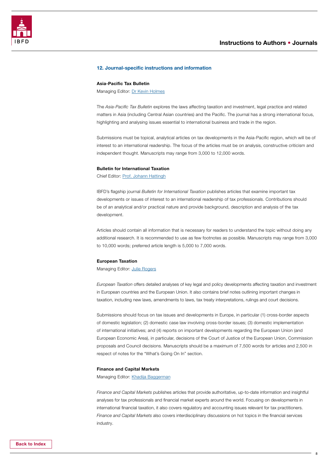<span id="page-7-0"></span>

#### 12. Journal-specific instructions and information

#### Asia-Pacific Tax Bulletin

Managing Editor: [Dr Kevin Holmes](mailto:k.holmes%40ibfd.org?subject=)

The *Asia-Pacific Tax Bulletin* explores the laws affecting taxation and investment, legal practice and related matters in Asia (including Central Asian countries) and the Pacific. The journal has a strong international focus, highlighting and analysing issues essential to international business and trade in the region.

Submissions must be topical, analytical articles on tax developments in the Asia-Pacific region, which will be of interest to an international readership. The focus of the articles must be on analysis, constructive criticism and independent thought. Manuscripts may range from 3,000 to 12,000 words.

#### Bulletin for International Taxation

Chief Editor: [Prof. Johann Hattingh](mailto:johann.hattingh%40uct.ac.za?subject=)

IBFD's flagship journal *Bulletin for International Taxation* publishes articles that examine important tax developments or issues of interest to an international readership of tax professionals. Contributions should be of an analytical and/or practical nature and provide background, description and analysis of the tax development.

Articles should contain all information that is necessary for readers to understand the topic without doing any additional research. It is recommended to use as few footnotes as possible. Manuscripts may range from 3,000 to 10,000 words; preferred article length is 5,000 to 7,000 words.

#### European Taxation

Managing Editor: [Julie Rogers](mailto:European.Taxation%40ibfd.org?subject=)

*European Taxation* offers detailed analyses of key legal and policy developments affecting taxation and investment in European countries and the European Union. It also contains brief notes outlining important changes in taxation, including new laws, amendments to laws, tax treaty interpretations, rulings and court decisions.

Submissions should focus on tax issues and developments in Europe, in particular (1) cross-border aspects of domestic legislation; (2) domestic case law involving cross-border issues; (3) domestic implementation of international initiatives; and (4) reports on important developments regarding the European Union (and European Economic Area), in particular, decisions of the Court of Justice of the European Union, Commission proposals and Council decisions. Manuscripts should be a maximum of 7,500 words for articles and 2,500 in respect of notes for the "What's Going On In" section.

#### Finance and Capital Markets

Managing Editor: [Khadija Baggerman](mailto:khadija%40capeinvestments.nl?subject=)

*Finance and Capital Markets* publishes articles that provide authoritative, up-to-date information and insightful analyses for tax professionals and financial market experts around the world. Focusing on developments in international financial taxation, it also covers regulatory and accounting issues relevant for tax practitioners. *Finance and Capital Markets* also covers interdisciplinary discussions on hot topics in the financial services industry.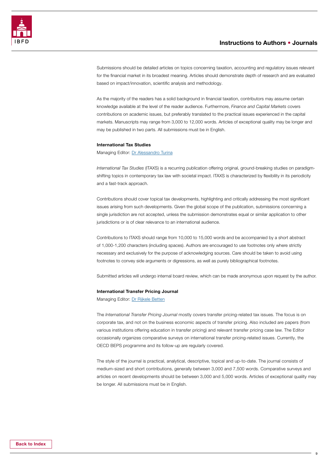Submissions should be detailed articles on topics concerning taxation, accounting and regulatory issues relevant for the financial market in its broadest meaning. Articles should demonstrate depth of research and are evaluated based on impact/innovation, scientific analysis and methodology.

As the majority of the readers has a solid background in financial taxation, contributors may assume certain knowledge available at the level of the reader audience. Furthermore, *Finance and Capital Markets* covers contributions on academic issues, but preferably translated to the practical issues experienced in the capital markets. Manuscripts may range from 3,000 to 12,000 words. Articles of exceptional quality may be longer and may be published in two parts. All submissions must be in English.

#### International Tax Studies

Managing Editor: [Dr Alessandro Turina](mailto:A.Turina%40ibfd.org?subject=)

*International Tax Studies* (ITAXS) is a recurring publication offering original, ground-breaking studies on paradigmshifting topics in contemporary tax law with societal impact. ITAXS is characterized by flexibility in its periodicity and a fast-track approach.

Contributions should cover topical tax developments, highlighting and critically addressing the most significant issues arising from such developments. Given the global scope of the publication, submissions concerning a single jurisdiction are not accepted, unless the submission demonstrates equal or similar application to other jurisdictions or is of clear relevance to an international audience.

Contributions to ITAXS should range from 10,000 to 15,000 words and be accompanied by a short abstract of 1,000-1,200 characters (including spaces). Authors are encouraged to use footnotes only where strictly necessary and exclusively for the purpose of acknowledging sources. Care should be taken to avoid using footnotes to convey side arguments or digressions, as well as purely bibliographical footnotes.

Submitted articles will undergo internal board review, which can be made anonymous upon request by the author.

#### International Transfer Pricing Journal

Managing Editor: [Dr Rijkele Betten](mailto:r.betten%40ibfd.org?subject=)

The *International Transfer Pricing Journal* mostly covers transfer pricing-related tax issues. The focus is on corporate tax, and not on the business economic aspects of transfer pricing. Also included are papers (from various institutions offering education in transfer pricing) and relevant transfer pricing case law. The Editor occasionally organizes comparative surveys on international transfer pricing-related issues. Currently, the OECD BEPS programme and its follow-up are regularly covered.

The style of the journal is practical, analytical, descriptive, topical and up-to-date. The journal consists of medium-sized and short contributions, generally between 3,000 and 7,500 words. Comparative surveys and articles on recent developments should be between 3,000 and 5,000 words. Articles of exceptional quality may be longer. All submissions must be in English.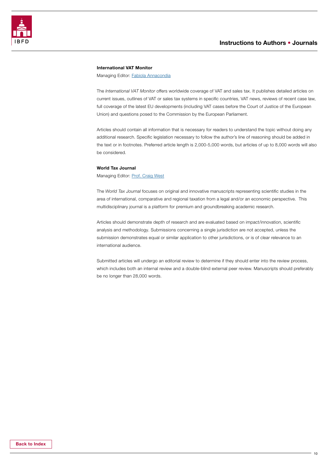

#### International VAT Monitor

Managing Editor: **Fabiola Annacondia** 

The *International VAT Monitor* offers worldwide coverage of VAT and sales tax. It publishes detailed articles on current issues, outlines of VAT or sales tax systems in specific countries, VAT news, reviews of recent case law, full coverage of the latest EU developments (including VAT cases before the Court of Justice of the European Union) and questions posed to the Commission by the European Parliament.

Articles should contain all information that is necessary for readers to understand the topic without doing any additional research. Specific legislation necessary to follow the author's line of reasoning should be added in the text or in footnotes. Preferred article length is 2,000-5,000 words, but articles of up to 8,000 words will also be considered.

#### World Tax Journal

Managing Editor: [Prof. Craig West](mailto:wtj%40ibfd.org?subject=)

The *World Tax Journal* focuses on original and innovative manuscripts representing scientific studies in the area of international, comparative and regional taxation from a legal and/or an economic perspective. This multidisciplinary journal is a platform for premium and groundbreaking academic research.

Articles should demonstrate depth of research and are evaluated based on impact/innovation, scientific analysis and methodology. Submissions concerning a single jurisdiction are not accepted, unless the submission demonstrates equal or similar application to other jurisdictions, or is of clear relevance to an international audience.

Submitted articles will undergo an editorial review to determine if they should enter into the review process, which includes both an internal review and a double-blind external peer review. Manuscripts should preferably be no longer than 28,000 words.